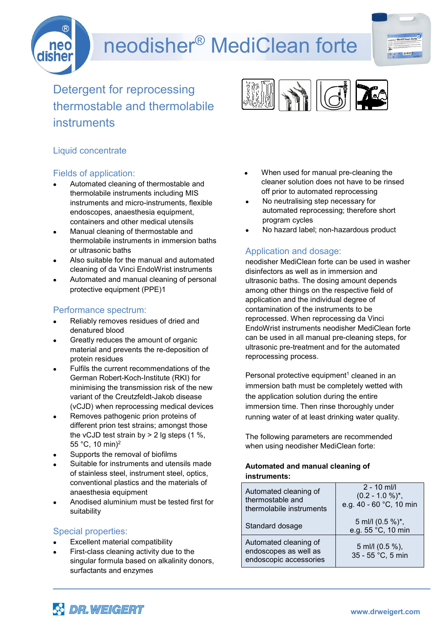# neodisher® MediClean forte



Detergent for reprocessing thermostable and thermolabile instruments



## Liquid concentrate

#### Fields of application:

- Automated cleaning of thermostable and thermolabile instruments including MIS instruments and micro-instruments, flexible endoscopes, anaesthesia equipment, containers and other medical utensils
- Manual cleaning of thermostable and thermolabile instruments in immersion baths or ultrasonic baths
- Also suitable for the manual and automated cleaning of da Vinci EndoWrist instruments
- Automated and manual cleaning of personal protective equipment (PPE)1

### Performance spectrum:

- Reliably removes residues of dried and denatured blood
- Greatly reduces the amount of organic material and prevents the re-deposition of protein residues
- Fulfils the current recommendations of the German Robert-Koch-Institute (RKI) for minimising the transmission risk of the new variant of the Creutzfeldt-Jakob disease (vCJD) when reprocessing medical devices
- Removes pathogenic prion proteins of different prion test strains; amongst those the vCJD test strain by  $> 2$  lg steps (1 %, 55 °C, 10 min)2
- Supports the removal of biofilms
- Suitable for instruments and utensils made of stainless steel, instrument steel, optics, conventional plastics and the materials of anaesthesia equipment
- Anodised aluminium must be tested first for suitability

### Special properties:

- Excellent material compatibility
- First-class cleaning activity due to the singular formula based on alkalinity donors, surfactants and enzymes
- When used for manual pre-cleaning the cleaner solution does not have to be rinsed off prior to automated reprocessing
- No neutralising step necessary for automated reprocessing; therefore short program cycles
- No hazard label; non-hazardous product

### Application and dosage:

neodisher MediClean forte can be used in washer disinfectors as well as in immersion and ultrasonic baths. The dosing amount depends among other things on the respective field of application and the individual degree of contamination of the instruments to be reprocessed. When reprocessing da Vinci EndoWrist instruments neodisher MediClean forte can be used in all manual pre-cleaning steps, for ultrasonic pre-treatment and for the automated reprocessing process.

Personal protective equipment<sup>1</sup> cleaned in an immersion bath must be completely wetted with the application solution during the entire immersion time. Then rinse thoroughly under running water of at least drinking water quality.

The following parameters are recommended when using neodisher MediClean forte:

#### **Automated and manual cleaning of instruments:**

| Automated cleaning of<br>thermostable and<br>thermolabile instruments    | $2 - 10$ ml/l<br>$(0.2 - 1.0 %)^{*}$ ,<br>e.g. 40 - 60 °C, 10 min |
|--------------------------------------------------------------------------|-------------------------------------------------------------------|
| Standard dosage                                                          | 5 ml/l (0.5 %)*,<br>e.g. 55 °C, 10 min                            |
| Automated cleaning of<br>endoscopes as well as<br>endoscopic accessories | 5 ml/l (0.5 %),<br>35 - 55 °C, 5 min                              |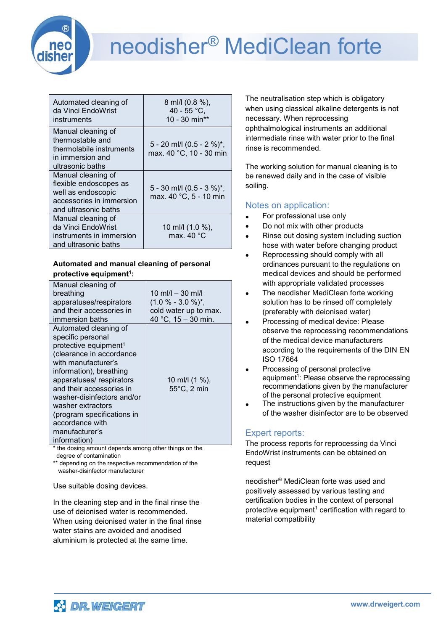

## neodisher® MediClean forte

| Automated cleaning of<br>da Vinci EndoWrist<br>instruments                                                             | 8 ml/l (0.8 %),<br>40 - 55 °C,<br>10 - 30 min**      |
|------------------------------------------------------------------------------------------------------------------------|------------------------------------------------------|
| Manual cleaning of<br>thermostable and<br>thermolabile instruments<br>in immersion and<br>ultrasonic baths             | 5 - 20 ml/l (0.5 - 2 %)*,<br>max. 40 °C, 10 - 30 min |
| Manual cleaning of<br>flexible endoscopes as<br>well as endoscopic<br>accessories in immersion<br>and ultrasonic baths | 5 - 30 ml/l (0.5 - 3 %)*,<br>max. 40 °C, 5 - 10 min  |
| Manual cleaning of<br>da Vinci EndoWrist<br>instruments in immersion<br>and ultrasonic baths                           | 10 ml/l (1.0 %),<br>max. 40 °C                       |

#### **Automated and manual cleaning of personal protective equipment<sup>1</sup> :**

| Manual cleaning of                |                       |
|-----------------------------------|-----------------------|
| breathing                         | 10 ml/l $-$ 30 ml/l   |
| apparatuses/respirators           | $(1.0 % - 3.0 %)^*$ , |
| and their accessories in          | cold water up to max. |
| immersion baths                   | 40 °C, $15 - 30$ min. |
| Automated cleaning of             |                       |
| specific personal                 |                       |
| protective equipment <sup>1</sup> |                       |
| (clearance in accordance          |                       |
| with manufacturer's               |                       |
| information), breathing           |                       |
| apparatuses/respirators           | 10 ml/l (1 %),        |
| and their accessories in          | 55°C, 2 min           |
| washer-disinfectors and/or        |                       |
| washer extractors                 |                       |
| (program specifications in        |                       |
| accordance with                   |                       |
| manufacturer's                    |                       |
| information)                      |                       |

\* the dosing amount depends among other things on the degree of contamination

\*\* depending on the respective recommendation of the washer-disinfector manufacturer

Use suitable dosing devices.

In the cleaning step and in the final rinse the use of deionised water is recommended. When using deionised water in the final rinse water stains are avoided and anodised aluminium is protected at the same time.

The neutralisation step which is obligatory when using classical alkaline detergents is not necessary. When reprocessing ophthalmological instruments an additional intermediate rinse with water prior to the final rinse is recommended.

The working solution for manual cleaning is to be renewed daily and in the case of visible soiling.

### Notes on application:

- For professional use only
- Do not mix with other products
- Rinse out dosing system including suction hose with water before changing product
- Reprocessing should comply with all ordinances pursuant to the regulations on medical devices and should be performed with appropriate validated processes
- The neodisher MediClean forte working solution has to be rinsed off completely (preferably with deionised water)
- Processing of medical device: Please observe the reprocessing recommendations of the medical device manufacturers according to the requirements of the DIN EN ISO 17664
- Processing of personal protective equipment<sup>1</sup>: Please observe the reprocessing recommendations given by the manufacturer of the personal protective equipment
- The instructions given by the manufacturer of the washer disinfector are to be observed

## Expert reports:

The process reports for reprocessing da Vinci EndoWrist instruments can be obtained on request

neodisher® MediClean forte was used and positively assessed by various testing and certification bodies in the context of personal protective equipment<sup>1</sup> certification with regard to material compatibility